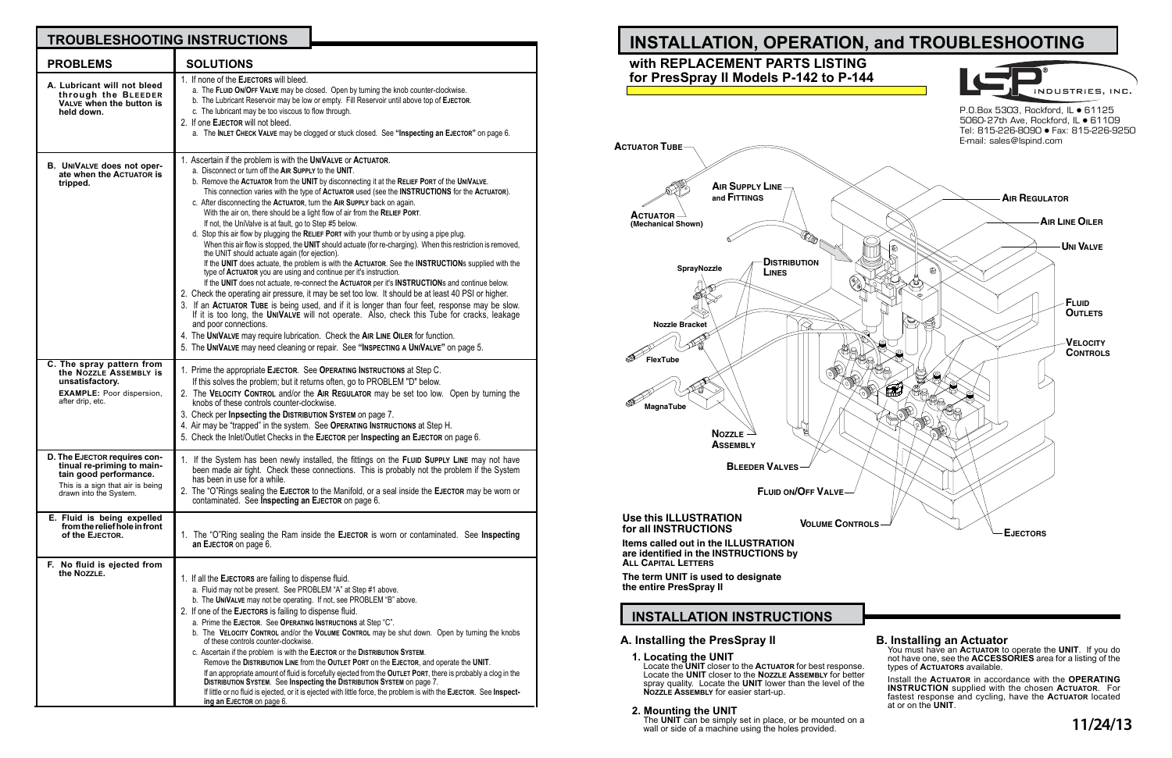# **A. Installing the PresSpray II**

**1. Locating the UNIT**

Locate the **UNIT** closer to the **Actuator** for best response. Locate the **UNIT** closer to the **Nozzle Assembly** for better spray quality. Locate the **UNIT** lower than the level of the **Nozzle Assembly** for easier start-up.

## **2. Mounting the UNIT**

The **UNIT** can be simply set in place, or be mounted on a wall or side of a machine using the holes provided.

# **INSTALLATION INSTRUCTIONS**

# **B. Installing an Actuator**

You must have an **Actuator** to operate the **UNIT**. If you do not have one, see the **ACCESSORIES** area for a listing of the types of **Actuators** available.

Install the **Actuator** in accordance with the **OPERATING INSTRUCTION** supplied with the chosen **Actuator**. For fastest response and cycling, have the **Actuator** located at or on the **UNIT**.



| <b>TROUBLESHOOTING INSTRUCTIONS</b>                                                                                                                       |                                                                                                                                                                                                                                                                                                                                                                                                                                                                                                                                                                                                                                                                                                                                                                                                                                                                                                                                                                                                                                                                                                                                                                                                                                                                                                                                                                                                                                                                                                                                                                                                     |
|-----------------------------------------------------------------------------------------------------------------------------------------------------------|-----------------------------------------------------------------------------------------------------------------------------------------------------------------------------------------------------------------------------------------------------------------------------------------------------------------------------------------------------------------------------------------------------------------------------------------------------------------------------------------------------------------------------------------------------------------------------------------------------------------------------------------------------------------------------------------------------------------------------------------------------------------------------------------------------------------------------------------------------------------------------------------------------------------------------------------------------------------------------------------------------------------------------------------------------------------------------------------------------------------------------------------------------------------------------------------------------------------------------------------------------------------------------------------------------------------------------------------------------------------------------------------------------------------------------------------------------------------------------------------------------------------------------------------------------------------------------------------------------|
| <b>PROBLEMS</b>                                                                                                                                           | <b>SOLUTIONS</b>                                                                                                                                                                                                                                                                                                                                                                                                                                                                                                                                                                                                                                                                                                                                                                                                                                                                                                                                                                                                                                                                                                                                                                                                                                                                                                                                                                                                                                                                                                                                                                                    |
| A. Lubricant will not bleed<br>through the BLEEDER<br>VALVE when the button is<br>held down.                                                              | 1. If none of the EJECTORS will bleed.<br>a. The FLUID ON/OFF VALVE may be closed. Open by turning the knob counter-clockwise.<br>b. The Lubricant Reservoir may be low or empty. Fill Reservoir until above top of EJECTOR.<br>c. The lubricant may be too viscous to flow through.<br>2. If one EJECTOR will not bleed.<br>a. The INLET CHECK VALVE may be clogged or stuck closed. See "Inspecting an EJECTOR" on page 6.                                                                                                                                                                                                                                                                                                                                                                                                                                                                                                                                                                                                                                                                                                                                                                                                                                                                                                                                                                                                                                                                                                                                                                        |
| <b>B.</b> UNIVALVE does not oper-<br>ate when the ACTUATOR is<br>tripped.                                                                                 | 1. Ascertain if the problem is with the UNIVALVE or ACTUATOR.<br>a. Disconnect or turn off the AIR SUPPLY to the UNIT.<br>b. Remove the ACTUATOR from the UNIT by disconnecting it at the RELIEF PORT of the UNIVALVE.<br>This connection varies with the type of ACTUATOR used (see the INSTRUCTIONS for the ACTUATOR).<br>c. After disconnecting the ACTUATOR, turn the AIR SUPPLY back on again.<br>With the air on, there should be a light flow of air from the RELIEF PORT.<br>If not, the UniValve is at fault, go to Step #5 below.<br>d. Stop this air flow by plugging the RELIEF PORT with your thumb or by using a pipe plug.<br>When this air flow is stopped, the UNIT should actuate (for re-charging). When this restriction is removed,<br>the UNIT should actuate again (for ejection).<br>If the UNIT does actuate, the problem is with the ACTUATOR. See the INSTRUCTIONs supplied with the<br>type of ACTUATOR you are using and continue per it's instruction.<br>If the UNIT does not actuate, re-connect the ACTUATOR per it's INSTRUCTIONs and continue below.<br>2. Check the operating air pressure, it may be set too low. It should be at least 40 PSI or higher.<br>3. If an ACTUATOR TUBE is being used, and if it is longer than four feet, response may be slow.<br>If it is too long, the UNIVALVE will not operate. Also, check this Tube for cracks, leakage<br>and poor connections.<br>4. The UNIVALVE may require lubrication. Check the AIR LINE OILER for function.<br>5. The UNIVALVE may need cleaning or repair. See "INSPECTING A UNIVALVE" on page 5. |
| C. The spray pattern from<br>the NOZZLE ASSEMBLY IS<br>unsatisfactory.<br><b>EXAMPLE:</b> Poor dispersion,<br>after drip, etc.                            | 1. Prime the appropriate EJECTOR. See OPERATING INSTRUCTIONS at Step C.<br>If this solves the problem; but it returns often, go to PROBLEM "D" below.<br>2. The VELOCITY CONTROL and/or the AIR REGULATOR may be set too low. Open by turning the<br>knobs of these controls counter-clockwise.<br>3. Check per Inpsecting the DISTRIBUTION SYSTEM on page 7.<br>4. Air may be "trapped" in the system. See OPERATING INSTRUCTIONS at Step H.<br>5. Check the Inlet/Outlet Checks in the EJECTOR per Inspecting an EJECTOR on page 6.                                                                                                                                                                                                                                                                                                                                                                                                                                                                                                                                                                                                                                                                                                                                                                                                                                                                                                                                                                                                                                                               |
| <b>D. The EJECTOR requires con-</b><br>tinual re-priming to main-<br>tain good performance.<br>This is a sign that air is being<br>drawn into the System. | 1. If the System has been newly installed, the fittings on the FLUID SUPPLY LINE may not have<br>been made air tight. Check these connections. This is probably not the problem if the System<br>has been in use for a while.<br>2. The "O"Rings sealing the EJECTOR to the Manifold, or a seal inside the EJECTOR may be worn or<br>contaminated. See Inspecting an EJECTOR on page 6.                                                                                                                                                                                                                                                                                                                                                                                                                                                                                                                                                                                                                                                                                                                                                                                                                                                                                                                                                                                                                                                                                                                                                                                                             |
| E. Fluid is being expelled<br>from the relief hole in front<br>of the EJECTOR.                                                                            | 1. The "O"Ring sealing the Ram inside the EJECTOR is worn or contaminated. See Inspecting<br>an EJECTOR on page 6.                                                                                                                                                                                                                                                                                                                                                                                                                                                                                                                                                                                                                                                                                                                                                                                                                                                                                                                                                                                                                                                                                                                                                                                                                                                                                                                                                                                                                                                                                  |
| F. No fluid is ejected from<br>the NozzLE.                                                                                                                | 1. If all the EJECTORS are failing to dispense fluid.<br>a. Fluid may not be present. See PROBLEM "A" at Step #1 above.<br>b. The UNIVALVE may not be operating. If not, see PROBLEM "B" above.<br>2. If one of the EJECTORS is failing to dispense fluid.<br>a. Prime the EJECTOR. See OPERATING INSTRUCTIONS at Step "C".<br>b. The VELOCITY CONTROL and/or the VOLUME CONTROL may be shut down. Open by turning the knobs<br>of these controls counter-clockwise.<br>c. Ascertain if the problem is with the EJECTOR or the DISTRIBUTION SYSTEM.<br>Remove the DISTRIBUTION LINE from the OUTLET PORT on the EJECTOR, and operate the UNIT.<br>If an appropriate amount of fluid is forcefully ejected from the OUTLET PORT, there is probably a clog in the<br>DISTRIBUTION SYSTEM. See Inspecting the DISTRIBUTION SYSTEM on page 7.<br>If little or no fluid is ejected, or it is ejected with little force, the problem is with the EJECTOR. See Inspect-<br>ing an EJECTOR on page 6.                                                                                                                                                                                                                                                                                                                                                                                                                                                                                                                                                                                                       |

**Items called out in the ILLUSTRATION are identified in the INSTRUCTIONS by ALL CAPITAL LETTERS**

**The term UNIT is used to designate the entire PresSpray II**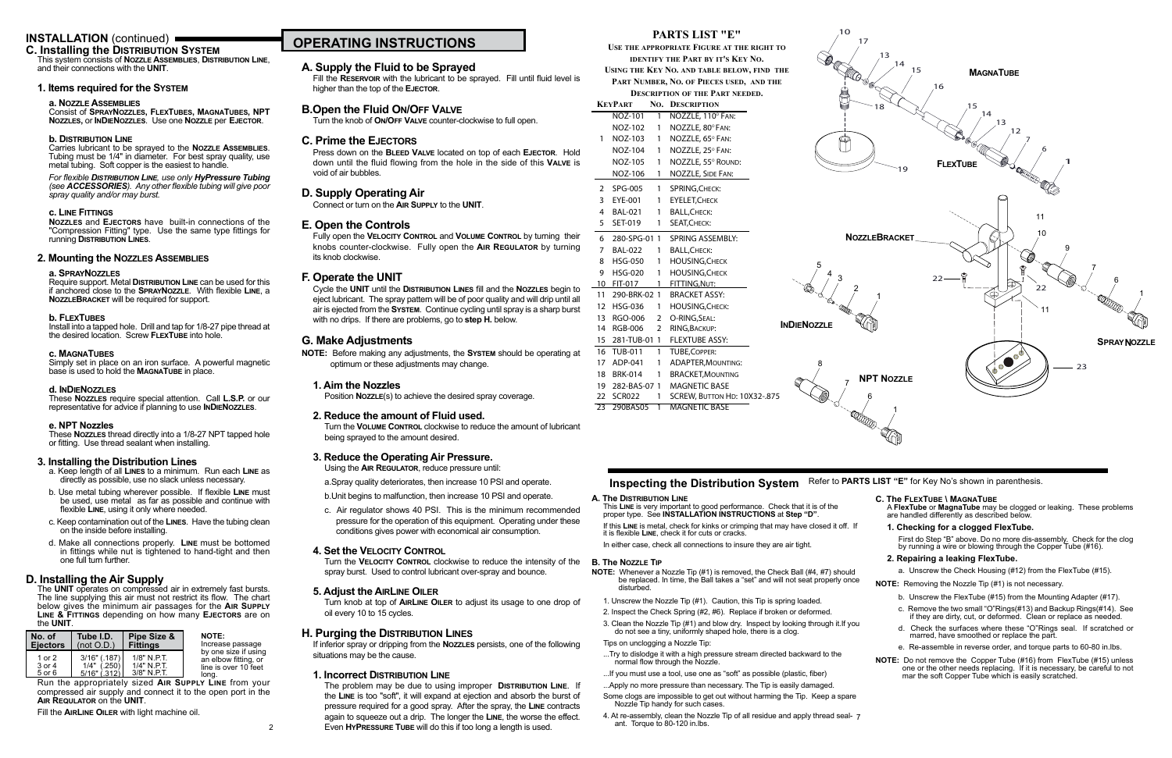# **A. Supply the Fluid to be Sprayed**

Fill the **Reservoir** with the lubricant to be sprayed. Fill until fluid level is higher than the top of the **Ejector**.

# **B.Open the Fluid On/Off Valve**

Turn the knob of **On/Off Valve** counter-clockwise to full open.

# **C. Prime the Ejectors**

Press down on the **Bleed Valve** located on top of each **Ejector**. Hold down until the fluid flowing from the hole in the side of this **Valve** is void of air bubbles.

# **D. Supply Operating Air**

Connect or turn on the **Air Supply** to the **UNIT**.

# **E. Open the Controls**

Fully open the **Velocity Control** and **Volume Control** by turning their knobs counter-clockwise. Fully open the **Air Regulator** by turning its knob clockwise.

# **F. Operate the UNIT**

Cycle the **UNIT** until the **Distribution Lines** fill and the **Nozzles** begin to eject lubricant. The spray pattern will be of poor quality and will drip until all air is ejected from the **System**. Continue cycling until spray is a sharp burst with no drips. If there are problems, go to **step H.** below.

# **G. Make Adjustments**

**NOTE:** Before making any adjustments, the **System** should be operating at optimum or these adjustments may change.

# **1. Aim the Nozzles**

Position **Nozzle**(s) to achieve the desired spray coverage.

# **2. Reduce the amount of Fluid used.**

Turn the **Volume Control** clockwise to reduce the amount of lubricant being sprayed to the amount desired.

# **3. Reduce the Operating Air Pressure.**

Using the **Air Regulator**, reduce pressure until:

a.Spray quality deteriorates, then increase 10 PSI and operate.

b.Unit begins to malfunction, then increase 10 PSI and operate.

c. Air regulator shows 40 PSI. This is the minimum recommended pressure for the operation of this equipment. Operating under these conditions gives power with economical air consumption.

# **4. Set the Velocity Control**

Simply set in place on an iron surface. A powerful magnetic base is used to hold the **MAGNATUBE** in place.

> Turn the **Velocity Control** clockwise to reduce the intensity of the spray burst. Used to control lubricant over-spray and bounce.

## **5. Adjust the AirLine Oiler**

Turn knob at top of **AirLine Oiler** to adjust its usage to one drop of oil every 10 to 15 cycles.

# **H. Purging the Distribution Lines**

If inferior spray or dripping from the **Nozzles** persists, one of the following situations may be the cause.

# **1. Incorrect Distribution Line**

The problem may be due to using improper **Distribution Line**. If the **Line** is too "soft", it will expand at ejection and absorb the burst of pressure required for a good spray. After the spray, the **Line** contracts again to squeeze out a drip. The longer the **Line**, the worse the effect. Even **HyPressure Tube** will do this if too long a length is used.

## **C. Installing the Distribution System** This system consists of **Nozzle Assemblies**, **Distribution Line**,

and their connections with the **UNIT**.

# **1. Items required for the System**

# **a. Nozzle Assemblies**

Consist of **SprayNozzles, FlexTubes, MagnaTubes, NPT Nozzles,** or **InDieNozzles**. Use one **Nozzle** per **Ejector**.

# **b. Distribution Line**

Carries lubricant to be sprayed to the **Nozzle Assemblies**. Tubing must be 1/4" in diameter. For best spray quality, use metal tubing. Soft copper is the easiest to handle.

### *For flexible Distribution Line, use only HyPressure Tubing (see ACCESSORIES). Any other flexible tubing will give poor spray quality and/or may burst.*

# **c. Line Fittings**

**Nozzles** and **Ejectors** have built-in connections of the "Compression Fitting" type. Use the same type fittings for running **Distribution Lines**.

# **2. Mounting the Nozzles Assemblies**

# **a. SprayNozzles**

Require support. Metal **Distribution Line** can be used for this if anchored close to the **SprayNozzle**. With flexible **Line**, a **NozzleBracket** will be required for support.

## **b. FlexTubes**

Install into a tapped hole. Drill and tap for 1/8-27 pipe thread at the desired location. Screw **FlexTube** into hole.

## **c. MagnaTubes**

## **d. InDieNozzles**

These **Nozzles** require special attention. Call **L.S.P.** or our representative for advice if planning to use **InDieNozzles**.

## **e. NPT Nozzles**

These **Nozzles** thread directly into a 1/8-27 NPT tapped hole or fitting. Use thread sealant when installing.

## **3. Installing the Distribution Lines**

- a. Keep length of all **Lines** to a minimum. Run each **Line** as directly as possible, use no slack unless necessary.
- b. Use metal tubing wherever possible. If flexible **Line** must be used, use metal as far as possible and continue with flexible **Line**, using it only where needed.
- c. Keep contamination out of the **Lines**. Have the tubing clean on the inside before installing.
- d. Make all connections properly. **Line** must be bottomed in fittings while nut is tightened to hand-tight and then one full turn further.

# **D. Installing the Air Supply**

The **UNIT** operates on compressed air in extremely fast bursts. The line supplying this air must not restrict its flow. The chart below gives the minimum air passages for the **Air Supply Line & Fittings** depending on how many **Ejectors** are on the **UNIT**.

Run the appropriately sized **Air Supply Line** from your compressed air supply and connect it to the open port in the **Air Requlator** on the **UNIT**.

Fill the **AirLine Oiler** with light machine oil.

| No. of                     | Tube I.D.                                          | Pipe Size &                                   | <b>NOTE:</b>                                                                  |
|----------------------------|----------------------------------------------------|-----------------------------------------------|-------------------------------------------------------------------------------|
| <b>Eiectors</b>            | (not O.D.)                                         | <b>Fittings</b>                               | Increase passage                                                              |
| 1 or 2<br>3 or 4<br>5 or 6 | $3/16"$ (.187)<br>(.250)<br>1/4"<br>$5/16"$ (.312) | $1/8"$ N.P.T.<br>1/4" N.P.T.<br>$3/8"$ N.P.T. | by one size if using<br>an elbow fitting, or<br>line is over 10 feet<br>long. |

2

## **A. The Distribution Line**

This **Line** is very important to good performance. Check that it is of the proper type. See **INSTALLATION INSTRUCTIONS** at **Step "D"**.

If this **Line** is metal, check for kinks or crimping that may have closed it off. If it is flexible **Line**, check it for cuts or cracks.

In either case, check all connections to insure they are air tight.

## **B. The Nozzle Tip**

**NOTE:** Whenever a Nozzle Tip (#1) is removed, the Check Ball (#4, #7) should be replaced. In time, the Ball takes a "set" and will not seat properly once disturbed.

- 1. Unscrew the Nozzle Tip (#1). Caution, this Tip is spring loaded.
- 2. Inspect the Check Spring (#2, #6). Replace if broken or deformed.
- 3. Clean the Nozzle Tip (#1) and blow dry. Inspect by looking through it.If you do not see a tiny, uniformly shaped hole, there is a clog.

Tips on unclogging a Nozzle Tip:

- ...Try to dislodge it with a high pressure stream directed backward to the normal flow through the Nozzle.
- ...If you must use a tool, use one as "soft" as possible (plastic, fiber)
- ...Apply no more pressure than necessary. The Tip is easily damaged.
- Some clogs are impossible to get out without harming the Tip. Keep a spare Nozzle Tip handy for such cases.
- 4. At re-assembly, clean the Nozzle Tip of all residue and apply thread seal-7 ant. Torque to 80-120 in.lbs.

## **C. The FlexTube \ MagnaTube**

A **FlexTube** or **MagnaTube** may be clogged or leaking. These problems are handled differently as described below.

### **1. Checking for a clogged FlexTube.**

First do Step "B" above. Do no more dis-assembly. Check for the clog by running a wire or blowing through the Copper Tube (#16).

## **2. Repairing a leaking FlexTube.**

a. Unscrew the Check Housing (#12) from the FlexTube (#15).

**NOTE:** Removing the Nozzle Tip (#1) is not necessary.

- b. Unscrew the FlexTube (#15) from the Mounting Adapter (#17).
- c. Remove the two small "O"Rings(#13) and Backup Rings(#14). See if they are dirty, cut, or deformed. Clean or replace as needed.
- d. Check the surfaces where these "O"Rings seal. If scratched or marred, have smoothed or replace the part.
- e. Re-assemble in reverse order, and torque parts to 60-80 in.lbs.
- **NOTE:** Do not remove the Copper Tube (#16) from FlexTube (#15) unless one or the other needs replacing. If it is necessary, be careful to not mar the soft Copper Tube which is easily scratched.

# **PARTS LIST "E"**

**Use the appropriate Figure at the right to identify the Part by it's Key No.**

**Using the Key No. and table below, find the Part Number, No. of Pieces used, and the**

**Description of the Part needed.**

|                 | KeyPart         | No.            | <b>DESCRIPTION</b>           |
|-----------------|-----------------|----------------|------------------------------|
|                 | NOZ-101         | $\mathbf{1}$   | NOZZLE, 110° FAN:            |
|                 | NOZ-102         | 1              | NOZZLE, 80° FAN:             |
| 1               | NOZ-103         | $\mathbf{1}$   | NOZZLE, 65° FAN:             |
|                 | NOZ-104         | 1              | NOZZLE, 25° FAN:             |
|                 | NOZ-105         | 1              | NOZZLE, 55° ROUND:           |
|                 | NOZ-106         | 1              | <b>NOZZLE, SIDE FAN:</b>     |
| $\mathbf{2}$    | SPG-005         | $1 \quad$      | SPRING, CHECK:               |
| $\overline{3}$  | EYE-001         | 1              | <b>EYELET, CHECK</b>         |
| 4               | <b>BAL-021</b>  | 1              | <b>BALL, CHECK:</b>          |
| 5               | SET-019         | 1              | SEAT, CHECK:                 |
| 6               | 280-SPG-01 1    |                | <b>SPRING ASSEMBLY:</b>      |
| 7               | <b>BAL-022</b>  | 1              | <b>BALL, CHECK:</b>          |
| 8               | HSG-050         | $\mathbf{1}$   | <b>HOUSING, CHECK</b>        |
| 9               | HSG-020         | 1              | <b>HOUSING, CHECK</b>        |
|                 | 10 FIT-017      | 1              | FITTING, NUT:                |
|                 | 11 290-BRK-02 1 |                | <b>BRACKET ASSY:</b>         |
|                 | 12 HSG-036      | $\mathbf{1}$   | <b>HOUSING, CHECK:</b>       |
|                 | 13 RGO-006      | $\mathbf{2}$   | O-RING, SEAL:                |
|                 | 14 RGB-006      | $\overline{2}$ | RING, BACKUP:                |
|                 | 15 281-TUB-01 1 |                | <b>FLEXTUBE ASSY:</b>        |
|                 | 16 TUB-011      | 1              | <b>TUBE, COPPER:</b>         |
|                 | 17 ADP-041      | 1              | <b>ADAPTER, MOUNTING:</b>    |
|                 | 18 BRK-014      | 1              | <b>BRACKET, MOUNTING</b>     |
|                 | 19 282-BAS-07 1 |                | <b>MAGNETIC BASE</b>         |
|                 | 22 SCR022       | $\mathbf{1}$   | SCREW, BUTTON HD: 10X32-.875 |
| $\overline{23}$ | 290BAS05        | ī              | <b>MAGNETIC BASE</b>         |



# **Inspecting the Distribution System** Refer to PARTS LIST "E" for Key No's shown in parenthesis.





10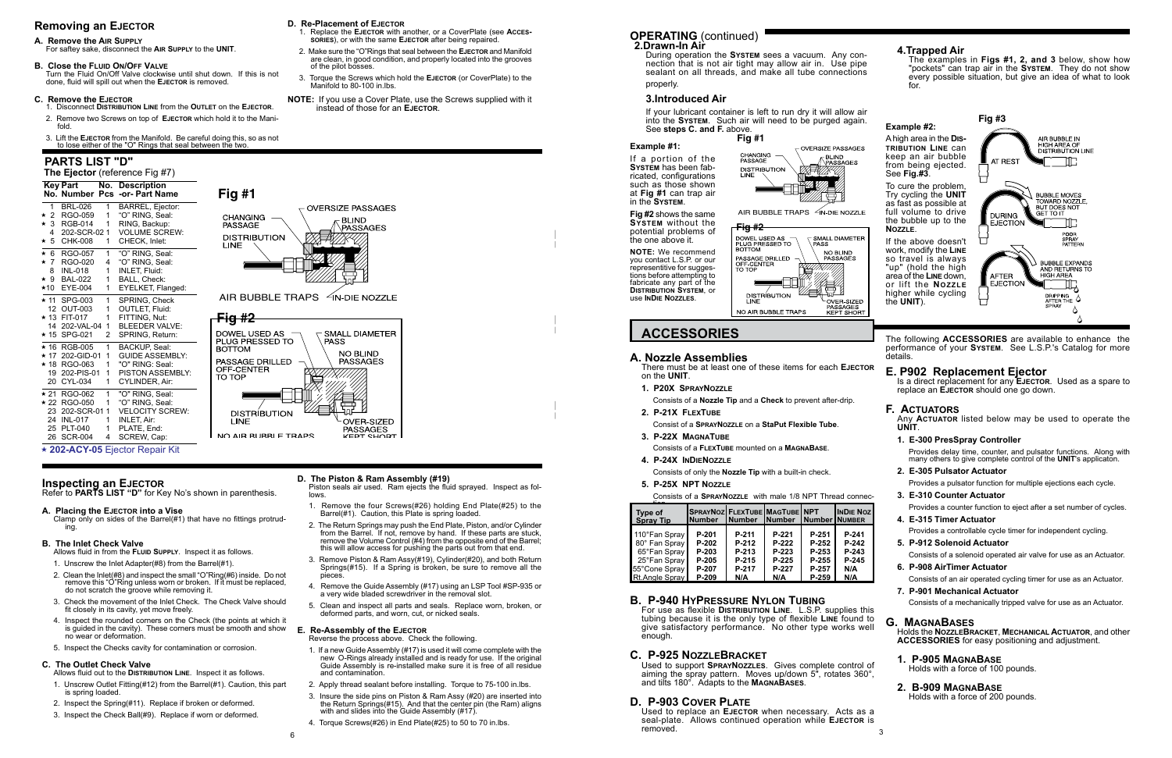**ACCESSORIES** The following **ACCESSORIES** are available to enhance the performance of your **System**. See L.S.P.'s Catalog for more details.

# **Example #2:**

A high area in the **Distribution Line** can keep an air bubble from being ejected. See **Fig.#3**.

To cure the problem, Try cycling the **UNIT** as fast as possible at full volume to drive the bubble up to the **Nozzle**.

If the above doesn't work, modify the **Line** so travel is always "up" (hold the high area of the **Line** down, or lift the **Nozzle** higher while cycling the **UNIT**).

### **Example #1:**

If a portion of the **System** has been fabricated, configurations such as those shown at **Fig #1** can trap air in the **System**.

Used to replace an **Ejector** when necessary. Acts as a seal-plate. Allows continued operation while **EJECTOR** is removed.  $\frac{1}{2}$  6

**Fig #2** shows the same

### **OPERATING** (continued) **2.Drawn-In Air**

the one above it.

**System** without the **Fig #2** potential problems of DOWEL USED AS <br>PLUG PRESSED TO  $\Gamma$  SMALL DIAMETER **PASS** BOTTOM **NOTE:** We recommend NO BLIND<br>PASSAGES PASSAGE DRILLED you contact L.S.P. or our OFF CENTER<br>TO TOP representitive for suggestions before attempting to fabricate any part of the **Distribution System**, or

**DISTRIBUTION** OVER-SIZED **PASSAGES** NO AIR BUBBLE TRAPS KEPT SHORT

use **InDie Nozzles**.

## **B. P-940 HyPressure Nylon Tubing**

For use as flexible **Distribution Line**. L.S.P. supplies this tubing because it is the only type of flexible **Line** found to give satisfactory performance. No other type works well enough.

**E. P902 Replacement Ejector** Is a direct replacement for any **EJECTOR**. Used as a spare to replace an **Ejector** should one go down.

## **C. P-925 NozzleBracket**

Used to support **SprayNozzles**. Gives complete control of aiming the spray pattern. Moves up/down 5", rotates 360°, and tilts 180°. Adapts to the **MagnaBases**.

## **D. P-903 Cover Plate**

During operation the **System** sees a vacuum. Any connection that is not air tight may allow air in. Use pipe sealant on all threads, and make all tube connections properly.

## **3.Introduced Air**

If your lubricant container is left to run dry it will allow air into the **System**. Such air will need to be purged again. See **steps C. and F.** above.

# **4.Trapped Air**

The examples in **Figs #1, 2, and 3** below, show how "pockets" can trap air in the **System**. They do not show every possible situation, but give an idea of what to look for.

- 
- 
- 
- 

# **F. Actuators**

Any **Actuator** listed below may be used to operate the **UNIT**.

## **1. E-300 PresSpray Controller**

Provides delay time, counter, and pulsator functions. Along with many others to give complete control of the **UNIT**'s applicaton.

- **2. E-305 Pulsator Actuator** Provides a pulsator function for multiple ejections each cycle.
- **3. E-310 Counter Actuator**

Provides a counter function to eject after a set number of cycles.

Piston seals air used. Ram ejects the fluid sprayed. Inspect as follows.

- **4. E-315 Timer Actuator** Provides a controllable cycle timer for independent cycling.
- **5. P-912 Solenoid Actuator** Consists of a solenoid operated air valve for use as an Actuator.
- **6. P-908 AirTimer Actuator** Consists of an air operated cycling timer for use as an Actuator.
- **7. P-901 Mechanical Actuator** Consists of a mechanically tripped valve for use as an Actuator.

# **G. MagnaBases**

Holds the **NozzleBracket**, **Mechanical Actuator**, and other **ACCESSORIES** for easy positioning and adjustment.

# **1. P-905 MagnaBase**

Holds with a force of 100 pounds.

## **2. B-909 MagnaBase**

Holds with a force of 200 pounds.

## **A. Nozzle Assemblies**

There must be at least one of these items for each **Ejector** on the **UNIT**.

**1. P20X SprayNozzle**

Consists of a **Nozzle Tip** and a **Check** to prevent after-drip.

- **2. P-21X FlexTube**
	- Consist of a **SprayNozzle** on a **StaPut Flexible Tube**.
- **3. P-22X MagnaTube**
- Consists of a **FlexTube** mounted on a **MagnaBase**.
- **4. P-24X InDieNozzle**
- Consists of only the **Nozzle Tip** with a built-in check.

## **5. P-25X NPT Nozzle**

Consists of a **SprayNozzle** with male 1/8 NPT Thread connec-

| Type of<br><b>Spray Tip</b>                                                                              | SPRAYNOZ FLEXTUBE MAGTUBE NPT<br><b>Number</b>     | INumber  Number  Number Number                   |                                                  |                                                      | <b>INDIE NOZ</b>                               |
|----------------------------------------------------------------------------------------------------------|----------------------------------------------------|--------------------------------------------------|--------------------------------------------------|------------------------------------------------------|------------------------------------------------|
| 110°Fan Spray<br>80° Fan Spray<br>65°Fan Spray<br>25°Fan Spray<br>55°Cone Spray<br><b>Rt.Angle Spray</b> | P-201<br>P-202<br>P-203<br>P-205<br>P-207<br>P-209 | P-211<br>P-212<br>P-213<br>P-215<br>P-217<br>N/A | P-221<br>P-222<br>P-223<br>P-225<br>P-227<br>N/A | P-251<br>P-252<br>P-253<br>$P-255$<br>P-257<br>P-259 | P-241<br>P-242<br>P-243<br>P-245<br>N/A<br>N/A |





AIR BUBBLE TRAPS 4N-DIE NOZZLE

# **Removing an Ejector**

### **A. Remove the Air Supply**

For saftey sake, disconnect the **Air Supply** to the **UNIT**.

## **B. Close the Fluid On/Off Valve**

Turn the Fluid On/Off Valve clockwise until shut down. If this is not done, fluid will spill out when the **Ejector** is removed.



**PASSAGES** NO AIR BURBLE TRAPS **VEDT CHOPT** 

## **C. Remove the Ejector**

- 1. Disconnect **Distribution Line** from the **Outlet** on the **Ejector**. 2. Remove two Screws on top of **Ejector** which hold it to the Manifold.
- 3. Lift the **Ejector** from the Manifold. Be careful doing this, so as not to lose either of the "O" Rings that seal between the two.

## **D. Re-Placement of Ejector**

- 1. Replace the **Ejector** with another, or a CoverPlate (see **Accessories**), or with the same **EJECTOR** after being repaired.
- 2. Make sure the "O"Rings that seal between the **Ejector** and Manifold are clean, in good condition, and properly located into the grooves of the pilot bosses.
- 3. Torque the Screws which hold the **Ejector** (or CoverPlate) to the Manifold to 80-100 in.lbs.
- **NOTE:** If you use a Cover Plate, use the Screws supplied with it instead of those for an **Ejector**.

## **D. The Piston & Ram Assembly (#19)**

- 1. Remove the four Screws(#26) holding End Plate(#25) to the Barrel(#1). Caution, this Plate is spring loaded.
- 2. The Return Springs may push the End Plate, Piston, and/or Cylinder from the Barrel. If not, remove by hand. If these parts are stuck, remove the Volume Control (#4) from the opposite end of the Barrel; this will allow access for pushing the parts out from that end.
- 3. Remove Piston & Ram Assy(#19), Cylinder(#20), and both Return Springs(#15). If a Spring is broken, be sure to remove all the pieces.
- 4. Remove the Guide Assembly (#17) using an LSP Tool #SP-935 or a very wide bladed screwdriver in the removal slot.
- 5. Clean and inspect all parts and seals. Replace worn, broken, or deformed parts, and worn, cut, or nicked seals.

# **E. Re-Assembly of the Ejector**

Reverse the process above. Check the following.

- 1. If a new Guide Assembly (#17) is used it will come complete with the new O-Rings already installed and is ready for use. If the original Guide Assembly is re-installed make sure it is free of all residue and contamination.
- 2. Apply thread sealant before installing. Torque to 75-100 in.lbs.
- 3. Insure the side pins on Piston & Ram Assy (#20) are inserted into the Return Springs(#15). And that the center pin (the Ram) aligns with and slides into the Guide Assembly (#17).
- 4. Torque Screws(#26) in End Plate(#25) to 50 to 70 in.lbs.

# **Inspecting an Ejector**

Refer to **PARTS LIST "D"** for Key No's shown in parenthesis.

## **A. Placing the Ejector into a Vise**

Clamp only on sides of the Barrel(#1) that have no fittings protruding.

## **B. The Inlet Check Valve**

Allows fluid in from the **Fluid Supply**. Inspect it as follows.

1. Unscrew the Inlet Adapter(#8) from the Barrel(#1).

- 2. Clean the Inlet(#8) and inspect the small "O"Ring(#6) inside. Do not remove this "O"Ring unless worn or broken. If it must be replaced, do not scratch the groove while removing it.
- 3. Check the movement of the Inlet Check. The Check Valve should fit closely in its cavity, yet move freely.
- 4. Inspect the rounded corners on the Check (the points at which it is guided in the cavity). These corners must be smooth and show no wear or deformation.
- 5. Inspect the Checks cavity for contamination or corrosion.

## **C. The Outlet Check Valve**

- Allows fluid out to the **Distribution Line**. Inspect it as follows.
- 1. Unscrew Outlet Fitting(#12) from the Barrel(#1). Caution, this part is spring loaded.
- 2. Inspect the Spring(#11). Replace if broken or deformed.
- 3. Inspect the Check Ball(#9). Replace if worn or deformed.

# **PARTS LIST "D"**

 **The Ejector** (reference Fig #7)  **Key Part No. Description**

|            | ney ran               | NU.          | Description<br>No. Number Pcs -or- Part Name                |
|------------|-----------------------|--------------|-------------------------------------------------------------|
| 1.         | <b>BRL-026</b>        | 1            | BARREL, Ejector:                                            |
| $\star$ 2  | RGO-059               | 1            | "O" RING, Seal:                                             |
|            | * 3 RGB-014           | 1            | RING, Backup:                                               |
| 4          | 202-SCR-02 1          |              | <b>VOLUME SCREW:</b>                                        |
| $\star$ 5  | CHK-008               | 1            | CHECK, Inlet:                                               |
| $\star$ 6  | RGO-057               | 1            | "O" RING, Seal:                                             |
| $\star$ 7  | <b>RGO-020</b>        | 4            | "O" RING, Seal:                                             |
| 8          | <b>INL-018</b>        | 1            | INLET, Fluid:                                               |
|            | ★ 9 BAL-022           | 1            | BALL, Check:                                                |
| *10 -      | <b>EYE-004</b>        | 1            | EYELKET, Flanged:                                           |
|            | ★ 11 SPG-003          | 1            | SPRING, Check                                               |
|            | 12 OUT-003            | 1            | OUTLET, Fluid:                                              |
|            | ★ 13 FIT-017          | 1            | FITTING, Nut:                                               |
|            | 14 202-VAL-04         | 1            | <b>BLEEDER VALVE:</b>                                       |
| ★ 15       | SPG-021               | 2            | SPRING, Return:                                             |
| ★ 16       | <b>RGB-005</b>        | 1            | BACKUP, Seal:                                               |
| $\star$ 17 | 202-GID-01            | 1            | <b>GUIDE ASSEMBLY:</b>                                      |
|            | ★ 18 RGO-063          | 1            | "O" RING: Seal:                                             |
|            | 19 202-PIS-01         | 1            | <b>PISTON ASSEMBLY:</b>                                     |
|            | 20 CYL-034            | 1            | CYLINDER, Air:                                              |
|            | ★ 21 RGO-062          | 1            | "O" RING, Seal:                                             |
|            | ★ 22 RGO-050          | 1            | "O" RING, Seal:                                             |
| 23         | 202-SCR-011           |              | <b>VELOCITY SCREW:</b>                                      |
|            | 24 INL-017            | 1.           | <b>INLET, Air:</b>                                          |
|            | 25 PLT-040            | $\mathbf{1}$ | PLATE, End:                                                 |
| 26         | <b>SCR-004</b>        | 4            | SCREW, Cap:                                                 |
|            | (0.000, 0.000, 0.000) |              | 2011/2010<br>$\mathbf{1}$ and $\mathbf{1}$ and $\mathbf{1}$ |

**★ 202-ACY-05** Ejector Repair Kit

**Fig #3**